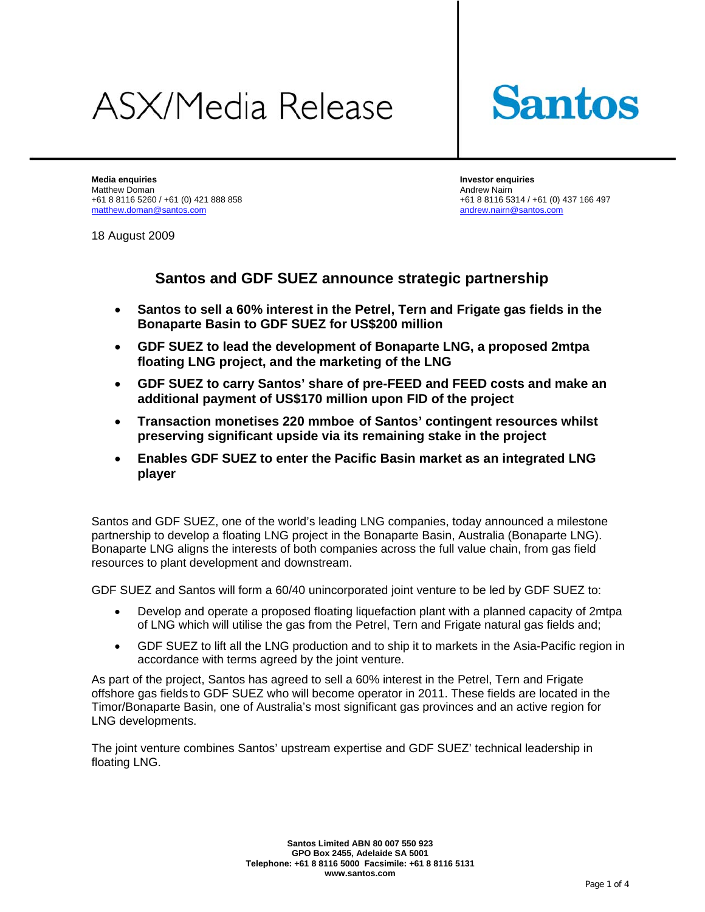# **ASX/Media Release**



**Media enquiries Investor enquiries**  Matthew Doman **Andrew Nairn Andrew Nairn Andrew Nairn** Andrew Nairn Andrew Nairn Andrew Nairn Andrew Nairn Andrew Nairn Andrew Nairn Andrew Nairn Andrew Nairn Andrew Nairn Andrew Nairn Andrew Nairn Andrew Nairn Andrew Nair +61 8 8116 5260 / +61 (0) 421 888 858 +61 88116 5314 / +61 (0) 437 166 497 matthew.doman@santos.com andrew.nairn@santos.com

18 August 2009

**Santos and GDF SUEZ announce strategic partnership** 

- **Santos to sell a 60% interest in the Petrel, Tern and Frigate gas fields in the Bonaparte Basin to GDF SUEZ for US\$200 million**
- **GDF SUEZ to lead the development of Bonaparte LNG, a proposed 2mtpa floating LNG project, and the marketing of the LNG**
- **GDF SUEZ to carry Santos' share of pre-FEED and FEED costs and make an additional payment of US\$170 million upon FID of the project**
- **Transaction monetises 220 mmboe of Santos' contingent resources whilst preserving significant upside via its remaining stake in the project**
- **Enables GDF SUEZ to enter the Pacific Basin market as an integrated LNG player**

Santos and GDF SUEZ, one of the world's leading LNG companies, today announced a milestone partnership to develop a floating LNG project in the Bonaparte Basin, Australia (Bonaparte LNG). Bonaparte LNG aligns the interests of both companies across the full value chain, from gas field resources to plant development and downstream.

GDF SUEZ and Santos will form a 60/40 unincorporated joint venture to be led by GDF SUEZ to:

- Develop and operate a proposed floating liquefaction plant with a planned capacity of 2mtpa of LNG which will utilise the gas from the Petrel, Tern and Frigate natural gas fields and;
- GDF SUEZ to lift all the LNG production and to ship it to markets in the Asia-Pacific region in accordance with terms agreed by the joint venture.

As part of the project, Santos has agreed to sell a 60% interest in the Petrel, Tern and Frigate offshore gas fields to GDF SUEZ who will become operator in 2011. These fields are located in the Timor/Bonaparte Basin, one of Australia's most significant gas provinces and an active region for LNG developments.

The joint venture combines Santos' upstream expertise and GDF SUEZ' technical leadership in floating LNG.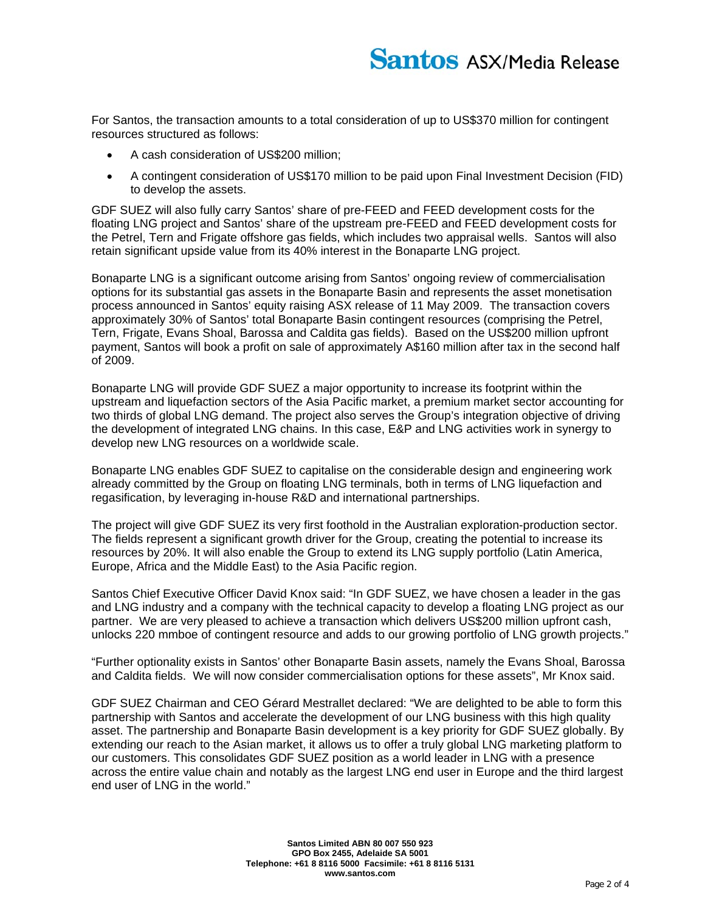For Santos, the transaction amounts to a total consideration of up to US\$370 million for contingent resources structured as follows:

- A cash consideration of US\$200 million;
- A contingent consideration of US\$170 million to be paid upon Final Investment Decision (FID) to develop the assets.

GDF SUEZ will also fully carry Santos' share of pre-FEED and FEED development costs for the floating LNG project and Santos' share of the upstream pre-FEED and FEED development costs for the Petrel, Tern and Frigate offshore gas fields, which includes two appraisal wells. Santos will also retain significant upside value from its 40% interest in the Bonaparte LNG project.

Bonaparte LNG is a significant outcome arising from Santos' ongoing review of commercialisation options for its substantial gas assets in the Bonaparte Basin and represents the asset monetisation process announced in Santos' equity raising ASX release of 11 May 2009. The transaction covers approximately 30% of Santos' total Bonaparte Basin contingent resources (comprising the Petrel, Tern, Frigate, Evans Shoal, Barossa and Caldita gas fields). Based on the US\$200 million upfront payment, Santos will book a profit on sale of approximately A\$160 million after tax in the second half of 2009.

Bonaparte LNG will provide GDF SUEZ a major opportunity to increase its footprint within the upstream and liquefaction sectors of the Asia Pacific market, a premium market sector accounting for two thirds of global LNG demand. The project also serves the Group's integration objective of driving the development of integrated LNG chains. In this case, E&P and LNG activities work in synergy to develop new LNG resources on a worldwide scale.

Bonaparte LNG enables GDF SUEZ to capitalise on the considerable design and engineering work already committed by the Group on floating LNG terminals, both in terms of LNG liquefaction and regasification, by leveraging in-house R&D and international partnerships.

The project will give GDF SUEZ its very first foothold in the Australian exploration-production sector. The fields represent a significant growth driver for the Group, creating the potential to increase its resources by 20%. It will also enable the Group to extend its LNG supply portfolio (Latin America, Europe, Africa and the Middle East) to the Asia Pacific region.

Santos Chief Executive Officer David Knox said: "In GDF SUEZ, we have chosen a leader in the gas and LNG industry and a company with the technical capacity to develop a floating LNG project as our partner. We are very pleased to achieve a transaction which delivers US\$200 million upfront cash, unlocks 220 mmboe of contingent resource and adds to our growing portfolio of LNG growth projects."

"Further optionality exists in Santos' other Bonaparte Basin assets, namely the Evans Shoal, Barossa and Caldita fields. We will now consider commercialisation options for these assets", Mr Knox said.

GDF SUEZ Chairman and CEO Gérard Mestrallet declared: "We are delighted to be able to form this partnership with Santos and accelerate the development of our LNG business with this high quality asset. The partnership and Bonaparte Basin development is a key priority for GDF SUEZ globally. By extending our reach to the Asian market, it allows us to offer a truly global LNG marketing platform to our customers. This consolidates GDF SUEZ position as a world leader in LNG with a presence across the entire value chain and notably as the largest LNG end user in Europe and the third largest end user of LNG in the world."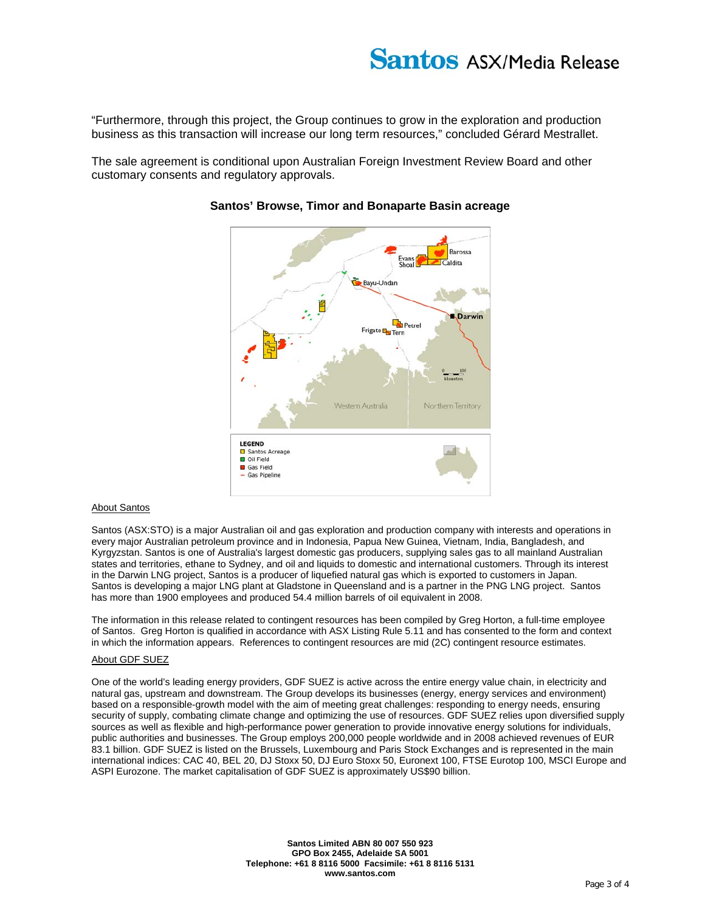# **Santos ASX/Media Release**

"Furthermore, through this project, the Group continues to grow in the exploration and production business as this transaction will increase our long term resources," concluded Gérard Mestrallet.

The sale agreement is conditional upon Australian Foreign Investment Review Board and other customary consents and regulatory approvals.



## **Santos' Browse, Timor and Bonaparte Basin acreage**

#### About Santos

Santos (ASX:STO) is a major Australian oil and gas exploration and production company with interests and operations in every major Australian petroleum province and in Indonesia, Papua New Guinea, Vietnam, India, Bangladesh, and Kyrgyzstan. Santos is one of Australia's largest domestic gas producers, supplying sales gas to all mainland Australian states and territories, ethane to Sydney, and oil and liquids to domestic and international customers. Through its interest in the Darwin LNG project, Santos is a producer of liquefied natural gas which is exported to customers in Japan. Santos is developing a major LNG plant at Gladstone in Queensland and is a partner in the PNG LNG project. Santos has more than 1900 employees and produced 54.4 million barrels of oil equivalent in 2008.

The information in this release related to contingent resources has been compiled by Greg Horton, a full-time employee of Santos. Greg Horton is qualified in accordance with ASX Listing Rule 5.11 and has consented to the form and context in which the information appears. References to contingent resources are mid (2C) contingent resource estimates.

### About GDF SUEZ

One of the world's leading energy providers, GDF SUEZ is active across the entire energy value chain, in electricity and natural gas, upstream and downstream. The Group develops its businesses (energy, energy services and environment) based on a responsible-growth model with the aim of meeting great challenges: responding to energy needs, ensuring security of supply, combating climate change and optimizing the use of resources. GDF SUEZ relies upon diversified supply sources as well as flexible and high-performance power generation to provide innovative energy solutions for individuals, public authorities and businesses. The Group employs 200,000 people worldwide and in 2008 achieved revenues of EUR 83.1 billion. GDF SUEZ is listed on the Brussels, Luxembourg and Paris Stock Exchanges and is represented in the main international indices: CAC 40, BEL 20, DJ Stoxx 50, DJ Euro Stoxx 50, Euronext 100, FTSE Eurotop 100, MSCI Europe and ASPI Eurozone. The market capitalisation of GDF SUEZ is approximately US\$90 billion.

> **Santos Limited ABN 80 007 550 923 GPO Box 2455, Adelaide SA 5001 Telephone: +61 8 8116 5000 Facsimile: +61 8 8116 5131 www.santos.com**